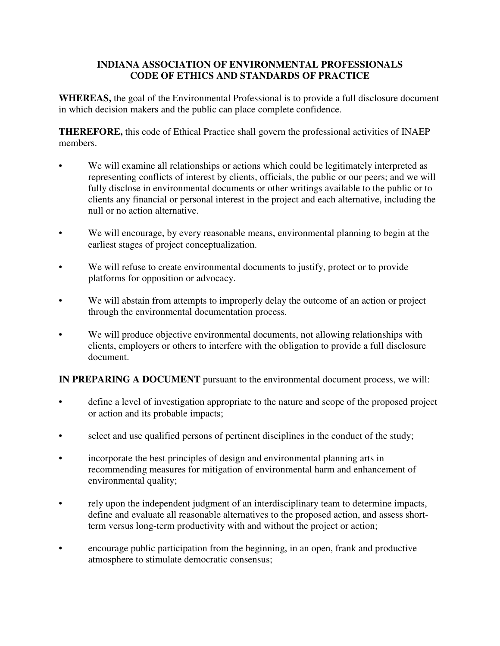## **INDIANA ASSOCIATION OF ENVIRONMENTAL PROFESSIONALS CODE OF ETHICS AND STANDARDS OF PRACTICE**

**WHEREAS,** the goal of the Environmental Professional is to provide a full disclosure document in which decision makers and the public can place complete confidence.

**THEREFORE,** this code of Ethical Practice shall govern the professional activities of INAEP members.

- We will examine all relationships or actions which could be legitimately interpreted as representing conflicts of interest by clients, officials, the public or our peers; and we will fully disclose in environmental documents or other writings available to the public or to clients any financial or personal interest in the project and each alternative, including the null or no action alternative.
- We will encourage, by every reasonable means, environmental planning to begin at the earliest stages of project conceptualization.
- We will refuse to create environmental documents to justify, protect or to provide platforms for opposition or advocacy.
- We will abstain from attempts to improperly delay the outcome of an action or project through the environmental documentation process.
- We will produce objective environmental documents, not allowing relationships with clients, employers or others to interfere with the obligation to provide a full disclosure document.

**IN PREPARING A DOCUMENT** pursuant to the environmental document process, we will:

- define a level of investigation appropriate to the nature and scope of the proposed project or action and its probable impacts;
- select and use qualified persons of pertinent disciplines in the conduct of the study;
- incorporate the best principles of design and environmental planning arts in recommending measures for mitigation of environmental harm and enhancement of environmental quality;
- rely upon the independent judgment of an interdisciplinary team to determine impacts, define and evaluate all reasonable alternatives to the proposed action, and assess shortterm versus long-term productivity with and without the project or action;
- encourage public participation from the beginning, in an open, frank and productive atmosphere to stimulate democratic consensus;